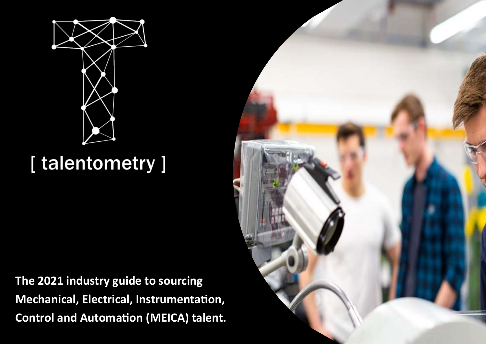

### [talentometry]

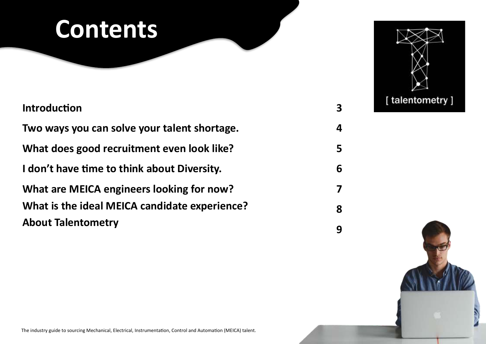## **Contents**

| <b>Introduction</b>                           |
|-----------------------------------------------|
| Two ways you can solve your talent shortage.  |
| What does good recruitment even look like?    |
| I don't have time to think about Diversity.   |
| What are MEICA engineers looking for now?     |
| What is the ideal MEICA candidate experience? |
| <b>About Talentometry</b>                     |



**3**

**4**

**5**

**6**

**7**

**8**

**9**

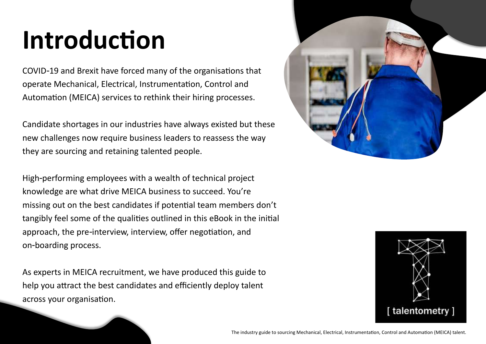# **Introduction**

COVID-19 and Brexit have forced many of the organisations that operate Mechanical, Electrical, Instrumentation, Control and Automation (MEICA) services to rethink their hiring processes.

Candidate shortages in our industries have always existed but these new challenges now require business leaders to reassess the way they are sourcing and retaining talented people.

High-performing employees with a wealth of technical project knowledge are what drive MEICA business to succeed. You're missing out on the best candidates if potential team members don't tangibly feel some of the qualities outlined in this eBook in the initial approach, the pre-interview, interview, offer negotiation, and on-boarding process.

As experts in MEICA recruitment, we have produced this guide to help you attract the best candidates and efficiently deploy talent across your organisation.



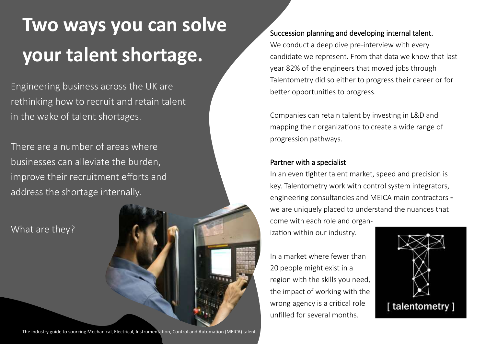## **Two ways you can solve your talent shortage.**

Engineering business across the UK are rethinking how to recruit and retain talent in the wake of talent shortages.

There are a number of areas where businesses can alleviate the burden, improve their recruitment efforts and address the shortage internally.

What are they?

Succession planning and developing internal talent. We conduct a deep dive pre-interview with every

candidate we represent. From that data we know that last year 82% of the engineers that moved jobs through Talentometry did so either to progress their career or for better opportunities to progress.

Companies can retain talent by investing in L&D and mapping their organizations to create a wide range of progression pathways.

#### Partner with a specialist

In an even tighter talent market, speed and precision is key. Talentometry work with control system integrators, engineering consultancies and MEICA main contractors we are uniquely placed to understand the nuances that come with each role and organization within our industry.

In a market where fewer than 20 people might exist in a region with the skills you need, the impact of working with the wrong agency is a critical role unfilled for several months.

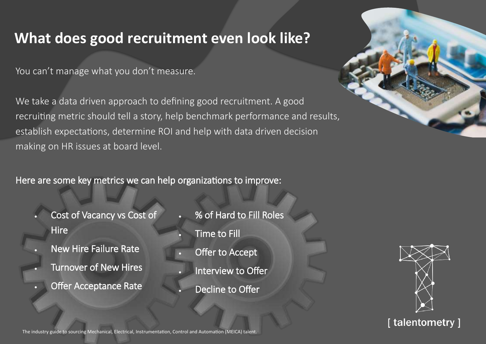### **What does good recruitment even look like?**

You can't manage what you don't measure.

We take a data driven approach to defining good recruitment. A good recruiting metric should tell a story, help benchmark performance and results, establish expectations, determine ROI and help with data driven decision making on HR issues at board level.

Here are some key metrics we can help organizations to improve:

- Cost of Vacancy vs Cost of **Hire**
- New Hire Failure Rate
- **Turnover of New Hires** 
	- **Offer Acceptance Rate**
- % of Hard to Fill Roles **Time to Fill**
- Offer to Accept
	- Interview to Offer
		- Decline to Offer





### [talentometry]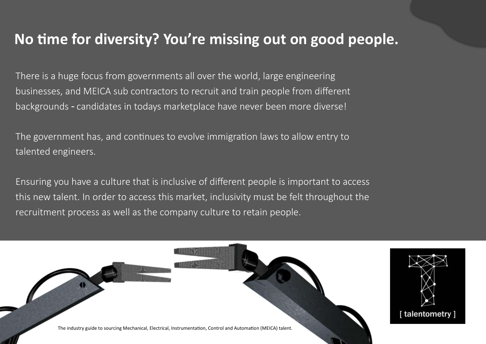### **No time for diversity? You're missing out on good people.**

There is a huge focus from governments all over the world, large engineering businesses, and MEICA sub contractors to recruit and train people from different backgrounds - candidates in todays marketplace have never been more diverse!

The government has, and continues to evolve immigration laws to allow entry to talented engineers.

Ensuring you have a culture that is inclusive of different people is important to access this new talent. In order to access this market, inclusivity must be felt throughout the recruitment process as well as the company culture to retain people.

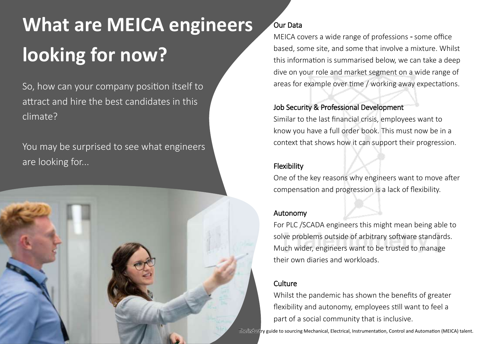## **What are MEICA engineers looking for now?**

So, how can your company position itself to attract and hire the best candidates in this climate?

You may be surprised to see what engineers are looking for...



### Our Data

MEICA covers a wide range of professions - some office based, some site, and some that involve a mixture. Whilst this information is summarised below, we can take a deep dive on your role and market segment on a wide range of areas for example over time / working away expectations.

#### Job Security & Professional Development

Similar to the last financial crisis, employees want to know you have a full order book. This must now be in a context that shows how it can support their progression.

### Flexibility

One of the key reasons why engineers want to move after compensation and progression is a lack of flexibility.

### Autonomy

For PLC /SCADA engineers this might mean being able to solve problems outside of arbitrary software standards. Much wider, engineers want to be trusted to manage their own diaries and workloads.

#### **Culture**

Whilst the pandemic has shown the benefits of greater flexibility and autonomy, employees still want to feel a part of a social community that is inclusive.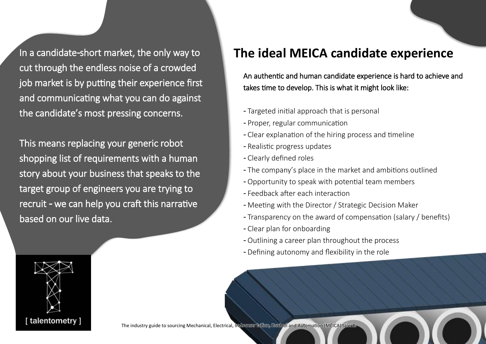In a candidate-short market, the only way to cut through the endless noise of a crowded job market is by putting their experience first and communicating what you can do against the candidate's most pressing concerns.

This means replacing your generic robot shopping list of requirements with a human story about your business that speaks to the target group of engineers you are trying to recruit - we can help you craft this narrative based on our live data.



### **The ideal MEICA candidate experience**

An authentic and human candidate experience is hard to achieve and takes time to develop. This is what it might look like:

- Targeted initial approach that is personal
- Proper, regular communication
- Clear explanation of the hiring process and timeline
- Realistic progress updates
- Clearly defined roles
- The company's place in the market and ambitions outlined
- Opportunity to speak with potential team members
- Feedback after each interaction
- Meeting with the Director / Strategic Decision Maker
- Transparency on the award of compensation (salary / benefits)
- Clear plan for onboarding
- Outlining a career plan throughout the process
- Defining autonomy and flexibility in the role